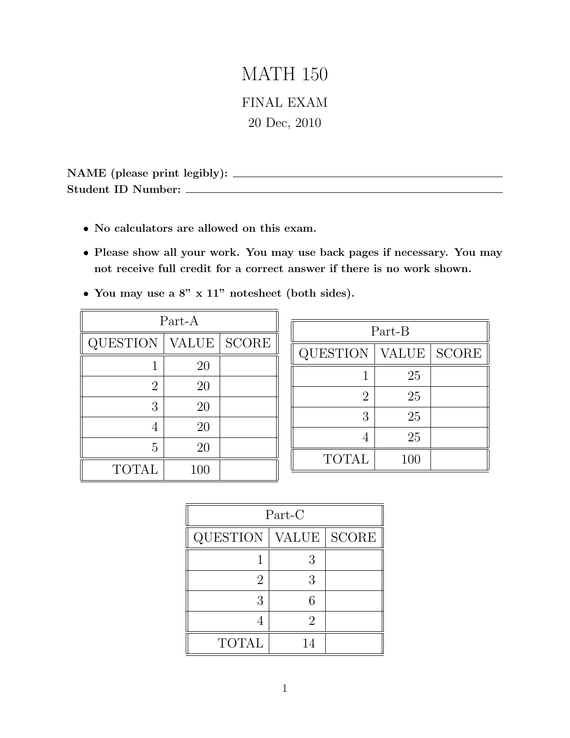# MATH 150 FINAL EXAM

20 Dec, 2010

NAME (please print legibly): Student ID Number:

- *•* No calculators are allowed on this exam.
- *•* Please show all your work. You may use back pages if necessary. You may not receive full credit for a correct answer if there is no work shown.
- *•* You may use a 8" x 11" notesheet (both sides).

| Part-A         |       |                        |
|----------------|-------|------------------------|
| QUESTION       | VALUE | $\operatorname{SCORE}$ |
|                | 20    |                        |
| $\overline{2}$ | 20    |                        |
| 3              | 20    |                        |
| 4              | 20    |                        |
| 5              | 20    |                        |
| <b>TOTAL</b>   | 100   |                        |

| Part-B          |              |              |
|-----------------|--------------|--------------|
| <b>QUESTION</b> | <b>VALUE</b> | <b>SCORE</b> |
|                 | 25           |              |
| 2               | 25           |              |
| 3               | 25           |              |
|                 | 25           |              |
| <b>TOTAL</b>    | 100          |              |

| Part-C       |    |             |
|--------------|----|-------------|
| QUESTION     |    | VALUE SCORE |
|              | 3  |             |
| '2           | 3  |             |
| 3            | 6  |             |
|              | 2  |             |
| <b>TOTAL</b> | 14 |             |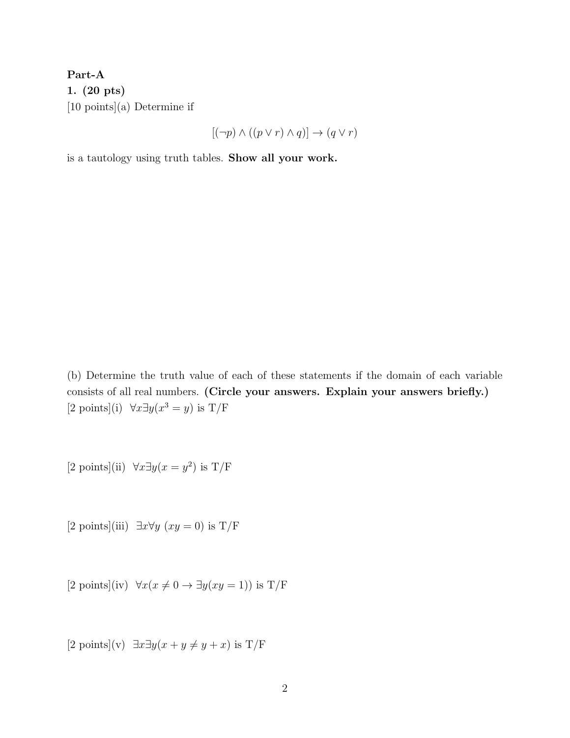Part-A 1. (20 pts) [10 points](a) Determine if

$$
[ (\neg p) \land ((p \lor r) \land q) ] \to (q \lor r)
$$

is a tautology using truth tables. Show all your work.

(b) Determine the truth value of each of these statements if the domain of each variable consists of all real numbers. (Circle your answers. Explain your answers briefly.) [2 points](i)  $\forall x \exists y (x^3 = y)$  is T/F

[2 points](ii)  $\forall x \exists y (x = y^2)$  is T/F

[2 points](iii)  $\exists x \forall y \ (xy = 0)$  is T/F

[2 points](iv)  $\forall x(x \neq 0 \rightarrow \exists y(xy=1))$  is T/F

 $[2 \text{ points}](v) \exists x \exists y(x + y \neq y + x) \text{ is } T/F$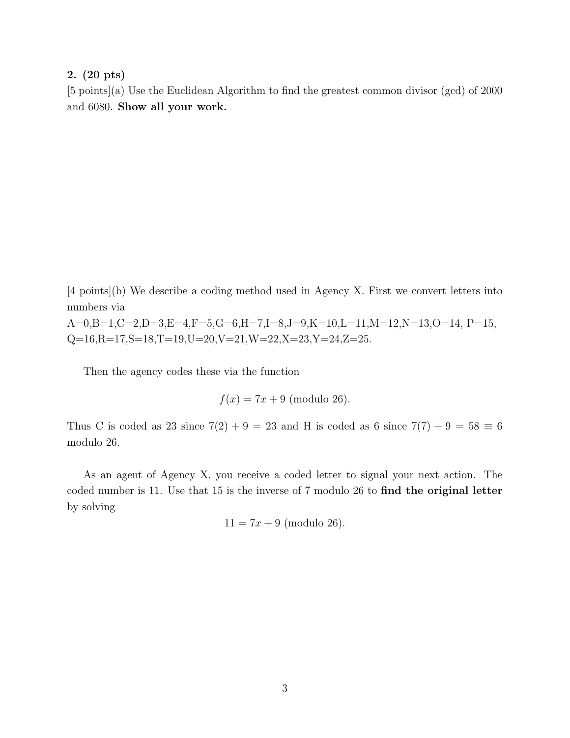### 2. (20 pts)

[5 points](a) Use the Euclidean Algorithm to find the greatest common divisor (gcd) of 2000 and 6080. Show all your work.

[4 points](b) We describe a coding method used in Agency X. First we convert letters into numbers via

A=0,B=1,C=2,D=3,E=4,F=5,G=6,H=7,I=8,J=9,K=10,L=11,M=12,N=13,O=14, P=15,  $Q=16, R=17, S=18, T=19, U=20, V=21, W=22, X=23, Y=24, Z=25.$ 

Then the agency codes these via the function

$$
f(x) = 7x + 9
$$
 (modulo 26).

Thus C is coded as 23 since  $7(2) + 9 = 23$  and H is coded as 6 since  $7(7) + 9 = 58 \equiv 6$ modulo 26.

As an agent of Agency X, you receive a coded letter to signal your next action. The coded number is 11. Use that 15 is the inverse of 7 modulo 26 to find the original letter by solving

 $11 = 7x + 9$  (modulo 26).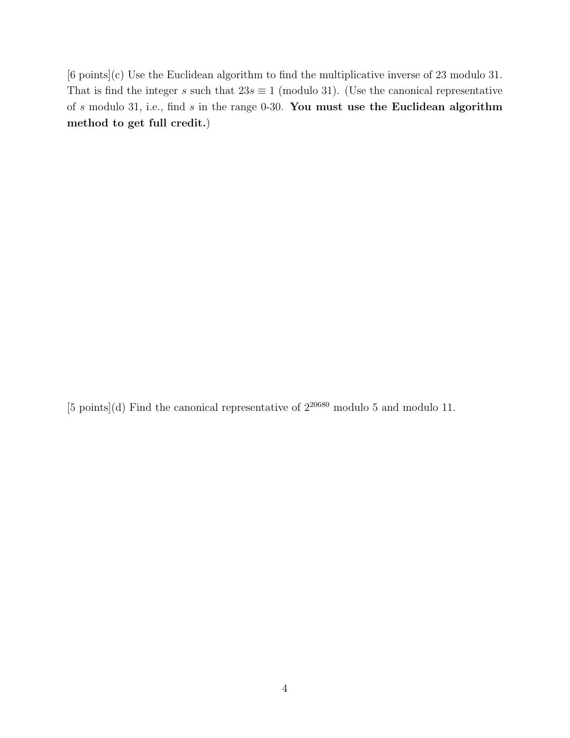[6 points](c) Use the Euclidean algorithm to find the multiplicative inverse of 23 modulo 31. That is find the integer *s* such that  $23s \equiv 1 \pmod{31}$ . (Use the canonical representative of *s* modulo 31, i.e., find *s* in the range 0-30. You must use the Euclidean algorithm method to get full credit.)

[5 points](d) Find the canonical representative of  $2^{20680}$  modulo 5 and modulo 11.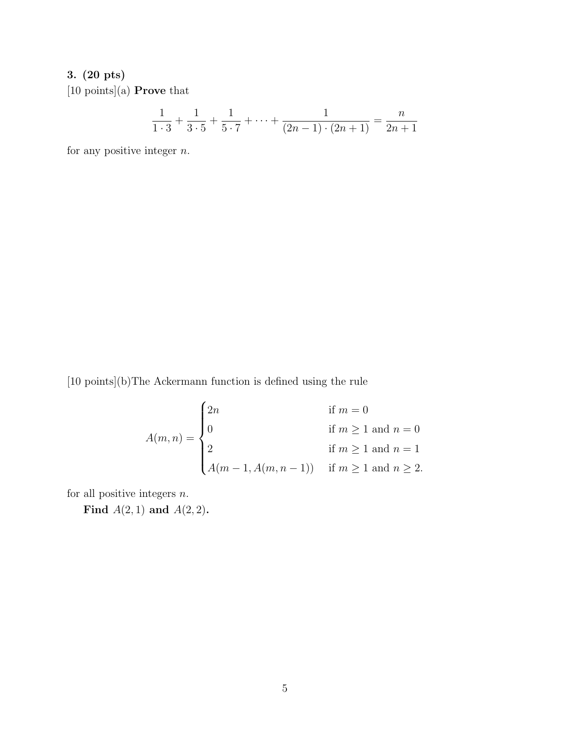# 3. (20 pts)

[10 points](a) Prove that

$$
\frac{1}{1\cdot 3} + \frac{1}{3\cdot 5} + \frac{1}{5\cdot 7} + \dots + \frac{1}{(2n-1)\cdot (2n+1)} = \frac{n}{2n+1}
$$

for any positive integer *n*.

[10 points](b)The Ackermann function is defined using the rule

$$
A(m, n) = \begin{cases} 2n & \text{if } m = 0 \\ 0 & \text{if } m \ge 1 \text{ and } n = 0 \\ 2 & \text{if } m \ge 1 \text{ and } n = 1 \\ A(m - 1, A(m, n - 1)) & \text{if } m \ge 1 \text{ and } n \ge 2. \end{cases}
$$

for all positive integers *n*.

Find *A*(2*,* 1) and *A*(2*,* 2).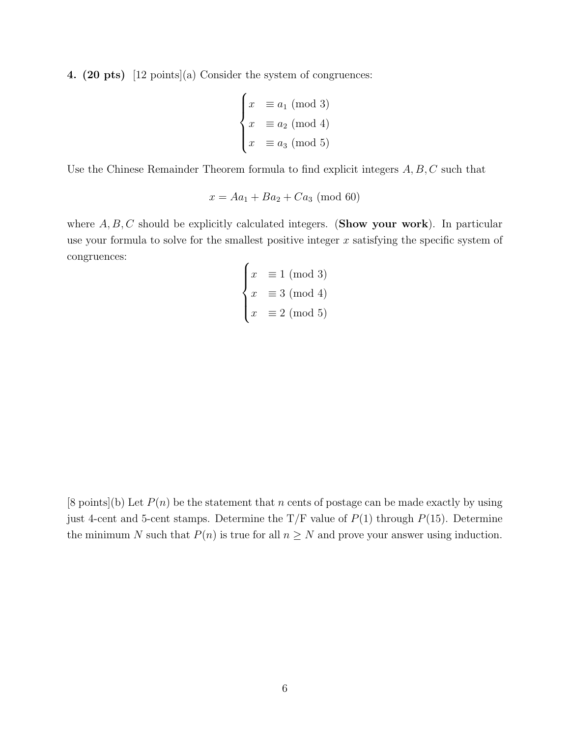4. (20 pts) [12 points](a) Consider the system of congruences:

$$
\begin{cases}\nx \equiv a_1 \pmod{3} \\
x \equiv a_2 \pmod{4} \\
x \equiv a_3 \pmod{5}\n\end{cases}
$$

Use the Chinese Remainder Theorem formula to find explicit integers *A, B, C* such that

$$
x = Aa_1 + Ba_2 + Ca_3 \pmod{60}
$$

where  $A, B, C$  should be explicitly calculated integers. (Show your work). In particular use your formula to solve for the smallest positive integer *x* satisfying the specific system of congruences:  $\epsilon$ 

$$
\begin{cases}\nx \equiv 1 \pmod{3} \\
x \equiv 3 \pmod{4} \\
x \equiv 2 \pmod{5}\n\end{cases}
$$

 $[8 \text{ points}](b)$  Let  $P(n)$  be the statement that *n* cents of postage can be made exactly by using just 4-cent and 5-cent stamps. Determine the  $T/F$  value of  $P(1)$  through  $P(15)$ . Determine the minimum *N* such that  $P(n)$  is true for all  $n \geq N$  and prove your answer using induction.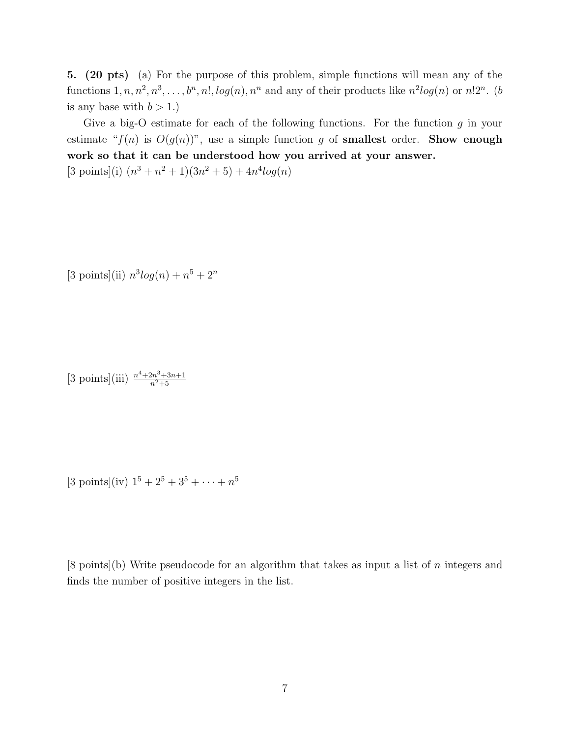5. (20 pts) (a) For the purpose of this problem, simple functions will mean any of the functions  $1, n, n^2, n^3, \ldots, b^n, n!$ ,  $log(n), n^n$  and any of their products like  $n^2 log(n)$  or  $n!2^n$ . (*b* is any base with  $b > 1$ .)

Give a big-O estimate for each of the following functions. For the function *g* in your estimate " $f(n)$  is  $O(g(n))$ ", use a simple function g of **smallest** order. **Show enough** work so that it can be understood how you arrived at your answer.  $[3 \text{ points}](i)$   $(n^3 + n^2 + 1)(3n^2 + 5) + 4n^4 \log(n)$ 

 $[3 \text{ points}](ii) n^3 \log(n) + n^5 + 2^n$ 

 $[3 \text{ points}](iii) \frac{n^4 + 2n^3 + 3n + 1}{n^2 + 5}$ 

 $[3 \text{ points}](iv) 1^5 + 2^5 + 3^5 + \cdots + n^5$ 

[8 points](b) Write pseudocode for an algorithm that takes as input a list of *n* integers and finds the number of positive integers in the list.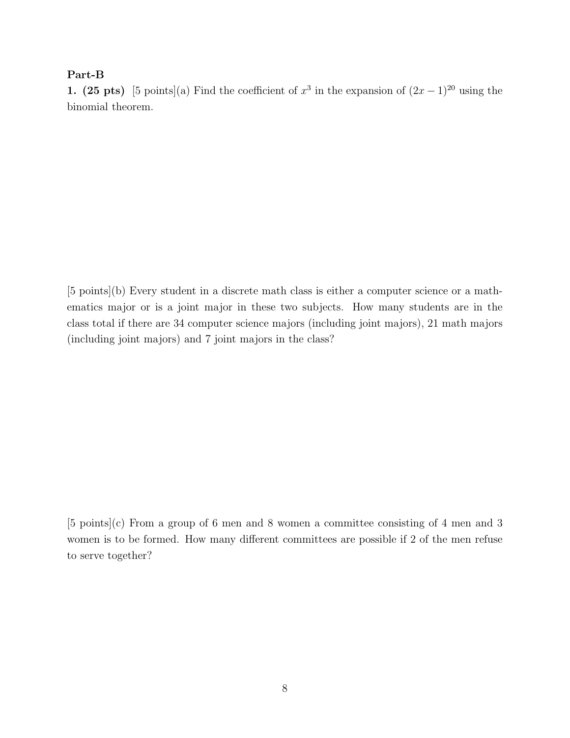### Part-B

1. (25 pts) [5 points](a) Find the coefficient of  $x^3$  in the expansion of  $(2x-1)^{20}$  using the binomial theorem.

[5 points](b) Every student in a discrete math class is either a computer science or a mathematics major or is a joint major in these two subjects. How many students are in the class total if there are 34 computer science majors (including joint majors), 21 math majors (including joint majors) and 7 joint majors in the class?

[5 points](c) From a group of 6 men and 8 women a committee consisting of 4 men and 3 women is to be formed. How many different committees are possible if 2 of the men refuse to serve together?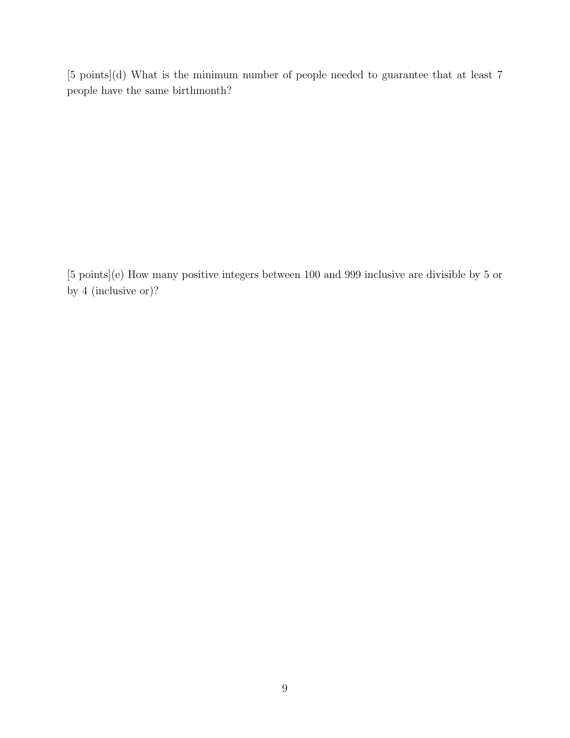[5 points](d) What is the minimum number of people needed to guarantee that at least 7 people have the same birthmonth?

[5 points](e) How many positive integers between 100 and 999 inclusive are divisible by 5 or by 4 (inclusive or)?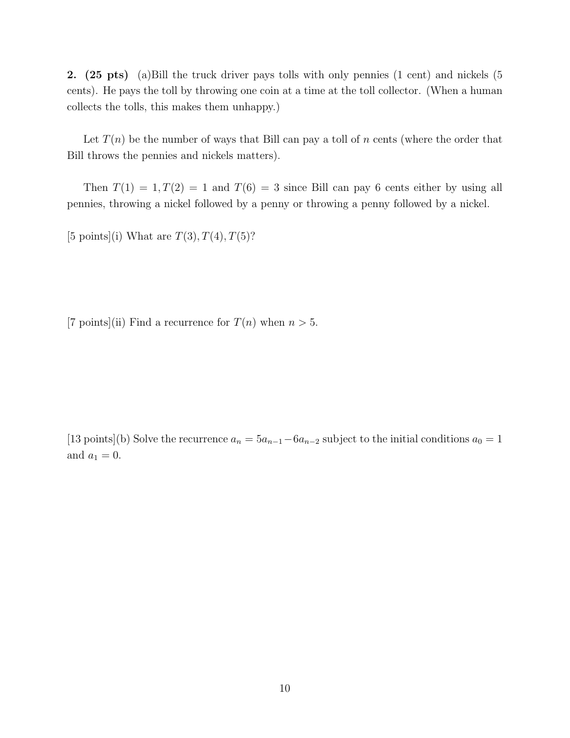2. (25 pts) (a)Bill the truck driver pays tolls with only pennies (1 cent) and nickels (5 cents). He pays the toll by throwing one coin at a time at the toll collector. (When a human collects the tolls, this makes them unhappy.)

Let  $T(n)$  be the number of ways that Bill can pay a toll of *n* cents (where the order that Bill throws the pennies and nickels matters).

Then  $T(1) = 1, T(2) = 1$  and  $T(6) = 3$  since Bill can pay 6 cents either by using all pennies, throwing a nickel followed by a penny or throwing a penny followed by a nickel.

[5 points](i) What are  $T(3)$ ,  $T(4)$ ,  $T(5)$ ?

[7 points](ii) Find a recurrence for  $T(n)$  when  $n > 5$ .

[13 points](b) Solve the recurrence  $a_n = 5a_{n-1} - 6a_{n-2}$  subject to the initial conditions  $a_0 = 1$ and  $a_1 = 0$ .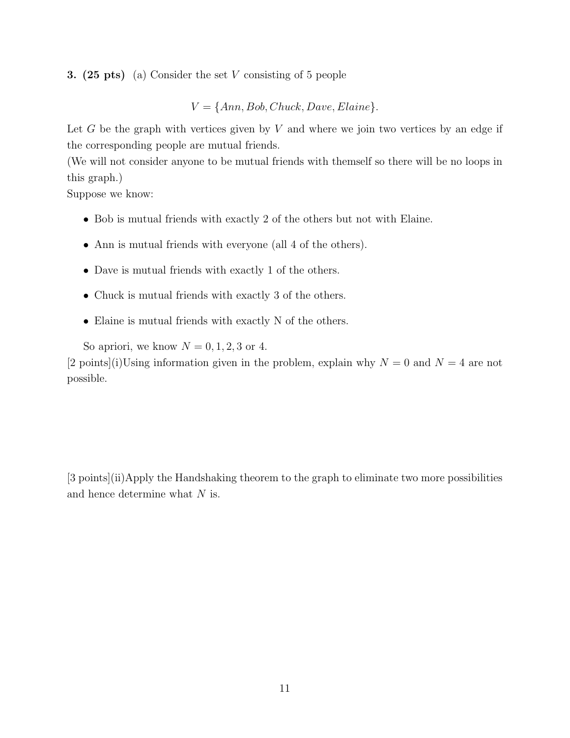3. (25 pts) (a) Consider the set *V* consisting of 5 people

 $V = \{Ann, Bob, Chuck, Dave, Elaine\}.$ 

Let *G* be the graph with vertices given by *V* and where we join two vertices by an edge if the corresponding people are mutual friends.

(We will not consider anyone to be mutual friends with themself so there will be no loops in this graph.)

Suppose we know:

- Bob is mutual friends with exactly 2 of the others but not with Elaine.
- Ann is mutual friends with everyone (all 4 of the others).
- Dave is mutual friends with exactly 1 of the others.
- Chuck is mutual friends with exactly 3 of the others.
- Elaine is mutual friends with exactly N of the others.

So apriori, we know  $N = 0, 1, 2, 3$  or 4.

[2 points](i)Using information given in the problem, explain why  $N = 0$  and  $N = 4$  are not possible.

[3 points](ii)Apply the Handshaking theorem to the graph to eliminate two more possibilities and hence determine what *N* is.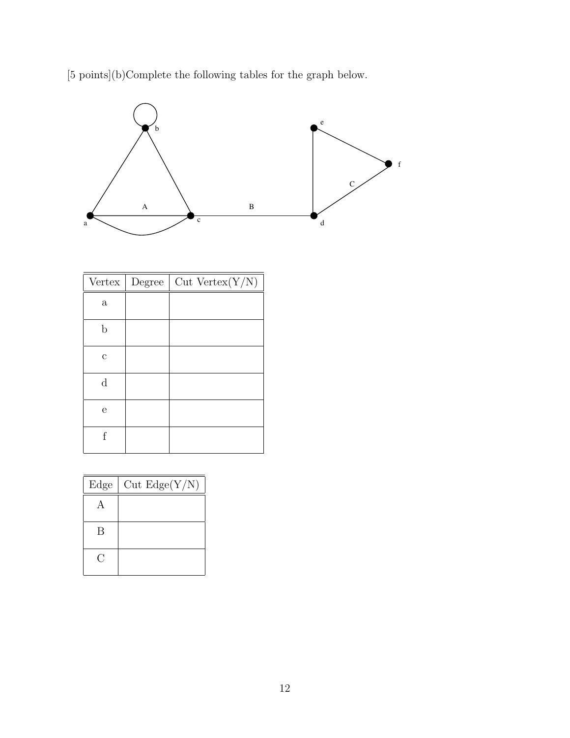[5 points](b)Complete the following tables for the graph below.



|              | Vertex   Degree | $Cut$ Vertex $(Y/N)$ |
|--------------|-----------------|----------------------|
| $\mathbf{a}$ |                 |                      |
| $\mathbf b$  |                 |                      |
| $\mathbf c$  |                 |                      |
| $\mathbf d$  |                 |                      |
| e            |                 |                      |
| f            |                 |                      |

| Edge | Cut Edge(Y/N) |
|------|---------------|
|      |               |
| В    |               |
|      |               |
| Г.   |               |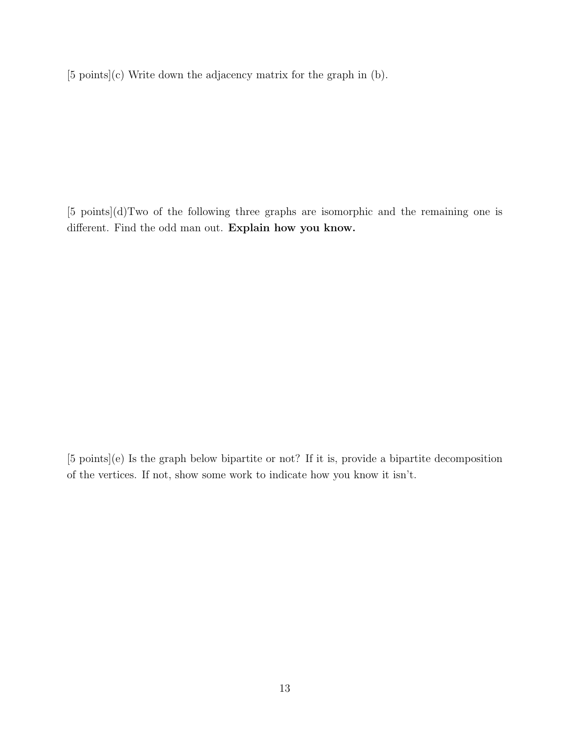[5 points](c) Write down the adjacency matrix for the graph in (b).

[5 points](d)Two of the following three graphs are isomorphic and the remaining one is different. Find the odd man out. Explain how you know.

[5 points](e) Is the graph below bipartite or not? If it is, provide a bipartite decomposition of the vertices. If not, show some work to indicate how you know it isn't.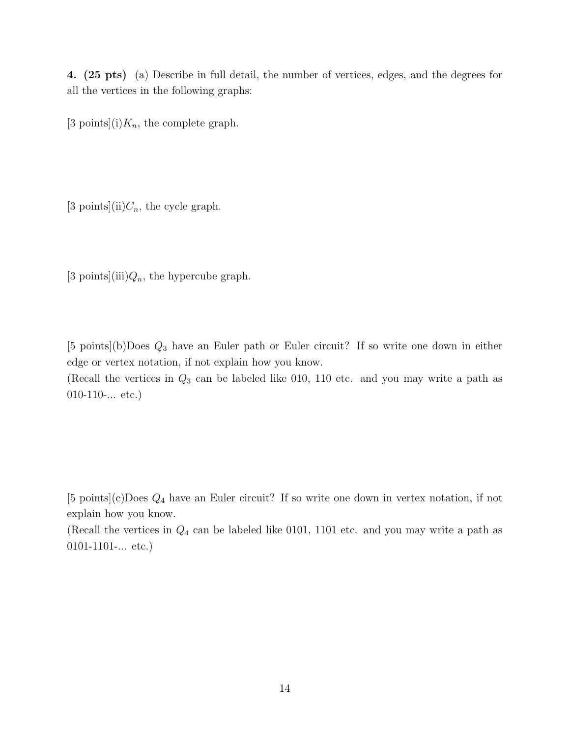4. (25 pts) (a) Describe in full detail, the number of vertices, edges, and the degrees for all the vertices in the following graphs:

[3 points](i) $K_n$ , the complete graph.

[3 points](ii) $C_n$ , the cycle graph.

[3 points](iii) $Q_n$ , the hypercube graph.

[5 points](b)Does *Q*<sup>3</sup> have an Euler path or Euler circuit? If so write one down in either edge or vertex notation, if not explain how you know.

(Recall the vertices in *Q*<sup>3</sup> can be labeled like 010, 110 etc. and you may write a path as  $010-110-...$  etc.)

[5 points](c)Does *Q*<sup>4</sup> have an Euler circuit? If so write one down in vertex notation, if not explain how you know.

(Recall the vertices in *Q*<sup>4</sup> can be labeled like 0101, 1101 etc. and you may write a path as 0101-1101-... etc.)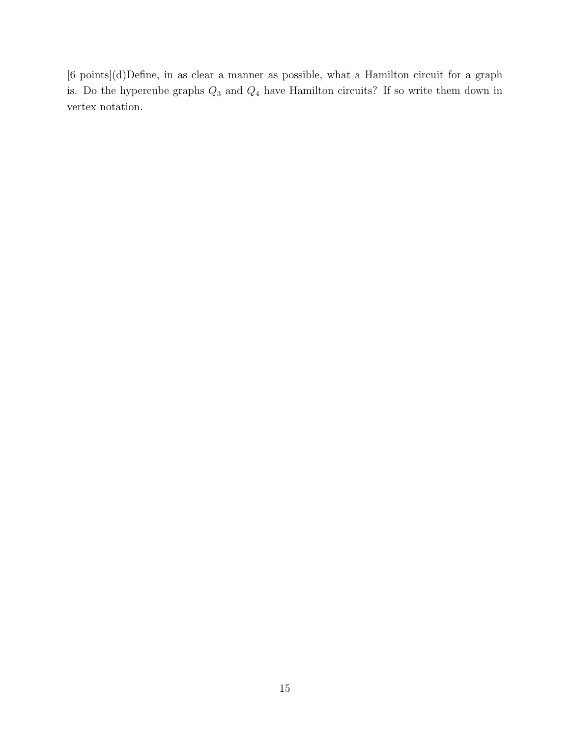[6 points](d)Define, in as clear a manner as possible, what a Hamilton circuit for a graph is. Do the hypercube graphs *Q*<sup>3</sup> and *Q*<sup>4</sup> have Hamilton circuits? If so write them down in vertex notation.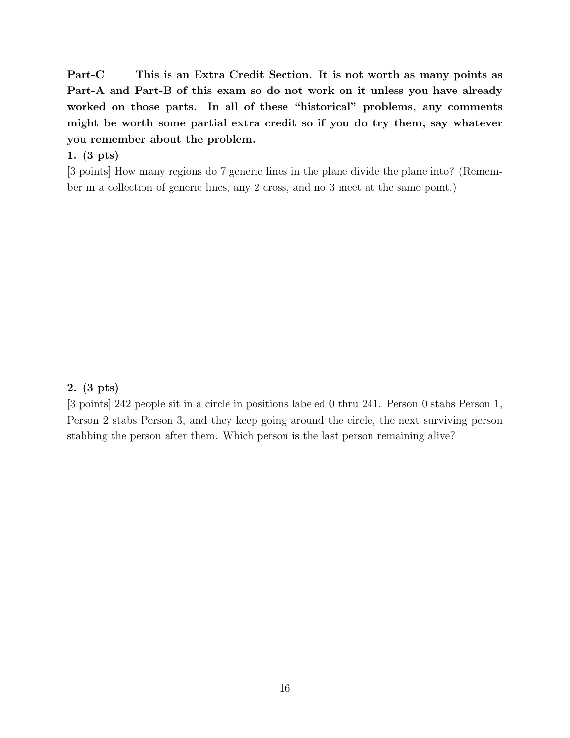Part-C This is an Extra Credit Section. It is not worth as many points as Part-A and Part-B of this exam so do not work on it unless you have already worked on those parts. In all of these "historical" problems, any comments might be worth some partial extra credit so if you do try them, say whatever you remember about the problem.

# 1. (3 pts)

[3 points] How many regions do 7 generic lines in the plane divide the plane into? (Remember in a collection of generic lines, any 2 cross, and no 3 meet at the same point.)

### 2. (3 pts)

[3 points] 242 people sit in a circle in positions labeled 0 thru 241. Person 0 stabs Person 1, Person 2 stabs Person 3, and they keep going around the circle, the next surviving person stabbing the person after them. Which person is the last person remaining alive?